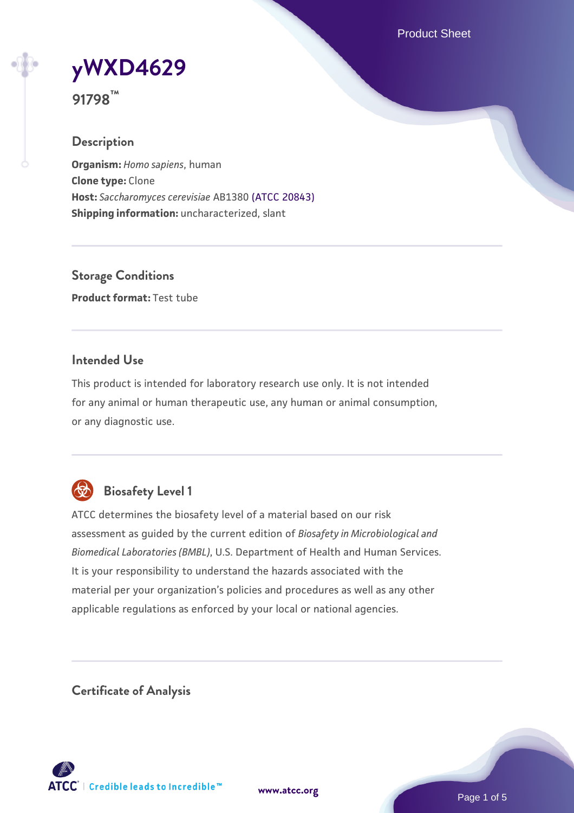Product Sheet

**[yWXD4629](https://www.atcc.org/products/91798)**

**91798™**

## **Description**

**Organism:** *Homo sapiens*, human **Clone type:** Clone **Host:** *Saccharomyces cerevisiae* AB1380 [\(ATCC 20843\)](https://www.atcc.org/products/20843) **Shipping information:** uncharacterized, slant

**Storage Conditions Product format:** Test tube

### **Intended Use**

This product is intended for laboratory research use only. It is not intended for any animal or human therapeutic use, any human or animal consumption, or any diagnostic use.



# **Biosafety Level 1**

ATCC determines the biosafety level of a material based on our risk assessment as guided by the current edition of *Biosafety in Microbiological and Biomedical Laboratories (BMBL)*, U.S. Department of Health and Human Services. It is your responsibility to understand the hazards associated with the material per your organization's policies and procedures as well as any other applicable regulations as enforced by your local or national agencies.

**Certificate of Analysis**

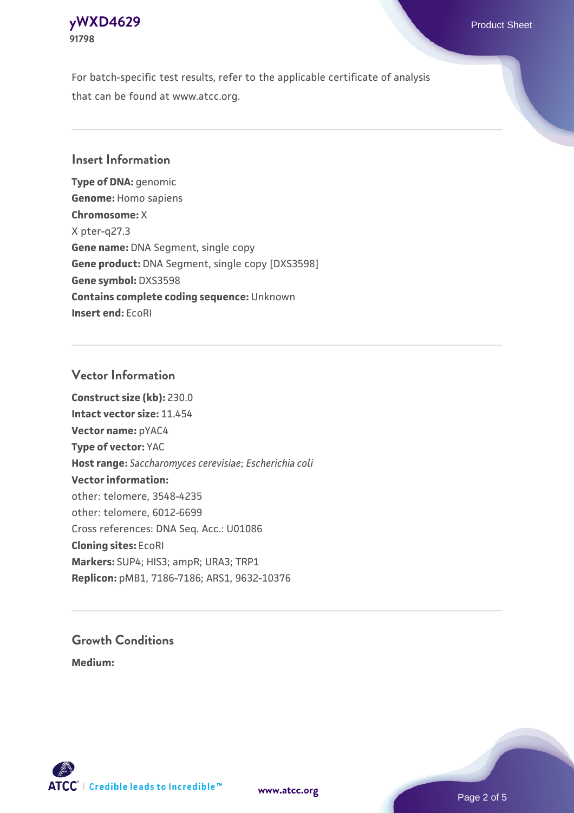### **[yWXD4629](https://www.atcc.org/products/91798)** Product Sheet **91798**

For batch-specific test results, refer to the applicable certificate of analysis that can be found at www.atcc.org.

### **Insert Information**

**Type of DNA:** genomic **Genome:** Homo sapiens **Chromosome:** X X pter-q27.3 **Gene name:** DNA Segment, single copy **Gene product:** DNA Segment, single copy [DXS3598] **Gene symbol:** DXS3598 **Contains complete coding sequence:** Unknown **Insert end:** EcoRI

### **Vector Information**

**Construct size (kb):** 230.0 **Intact vector size:** 11.454 **Vector name:** pYAC4 **Type of vector:** YAC **Host range:** *Saccharomyces cerevisiae*; *Escherichia coli* **Vector information:** other: telomere, 3548-4235 other: telomere, 6012-6699 Cross references: DNA Seq. Acc.: U01086 **Cloning sites:** EcoRI **Markers:** SUP4; HIS3; ampR; URA3; TRP1 **Replicon:** pMB1, 7186-7186; ARS1, 9632-10376

# **Growth Conditions**

**Medium:** 



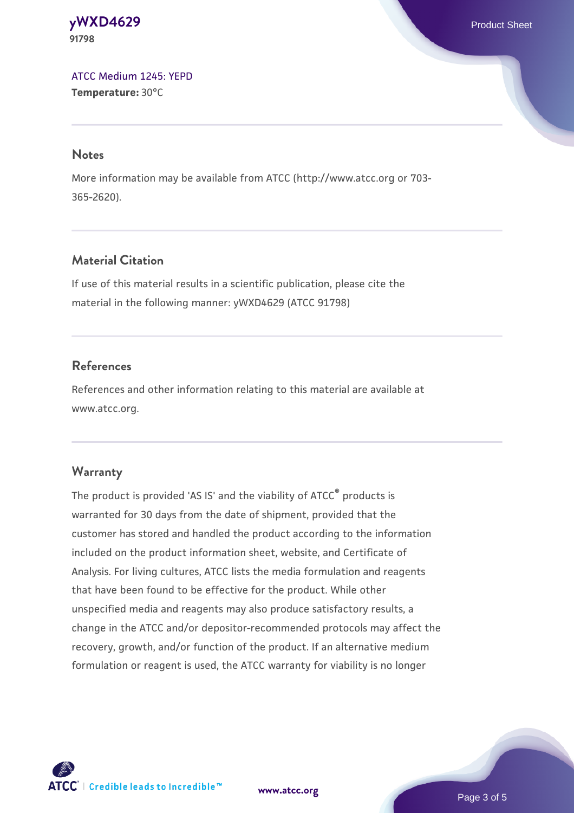#### **[yWXD4629](https://www.atcc.org/products/91798)** Product Sheet **91798**

[ATCC Medium 1245: YEPD](https://www.atcc.org/-/media/product-assets/documents/microbial-media-formulations/1/2/4/5/atcc-medium-1245.pdf?rev=705ca55d1b6f490a808a965d5c072196) **Temperature:** 30°C

#### **Notes**

More information may be available from ATCC (http://www.atcc.org or 703- 365-2620).

# **Material Citation**

If use of this material results in a scientific publication, please cite the material in the following manner: yWXD4629 (ATCC 91798)

# **References**

References and other information relating to this material are available at www.atcc.org.

# **Warranty**

The product is provided 'AS IS' and the viability of ATCC® products is warranted for 30 days from the date of shipment, provided that the customer has stored and handled the product according to the information included on the product information sheet, website, and Certificate of Analysis. For living cultures, ATCC lists the media formulation and reagents that have been found to be effective for the product. While other unspecified media and reagents may also produce satisfactory results, a change in the ATCC and/or depositor-recommended protocols may affect the recovery, growth, and/or function of the product. If an alternative medium formulation or reagent is used, the ATCC warranty for viability is no longer



**[www.atcc.org](http://www.atcc.org)**

Page 3 of 5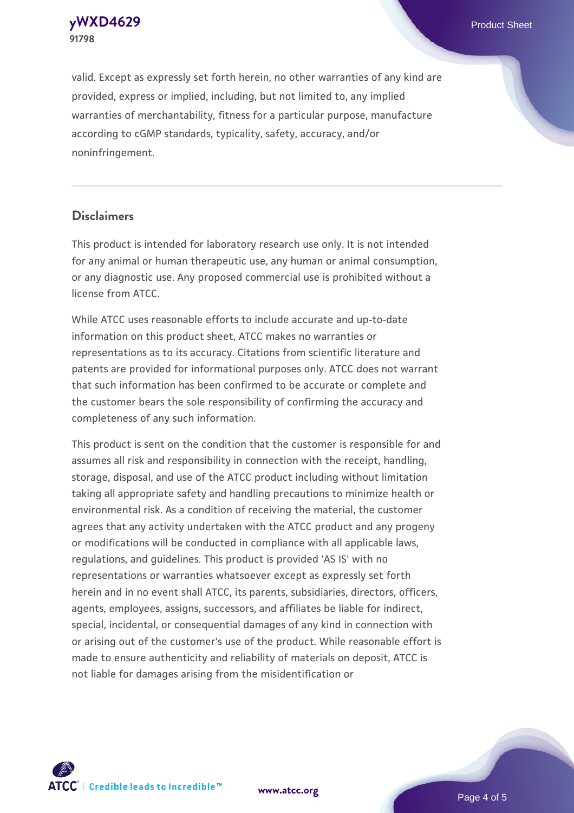**[yWXD4629](https://www.atcc.org/products/91798)** Product Sheet **91798**

valid. Except as expressly set forth herein, no other warranties of any kind are provided, express or implied, including, but not limited to, any implied warranties of merchantability, fitness for a particular purpose, manufacture according to cGMP standards, typicality, safety, accuracy, and/or noninfringement.

#### **Disclaimers**

This product is intended for laboratory research use only. It is not intended for any animal or human therapeutic use, any human or animal consumption, or any diagnostic use. Any proposed commercial use is prohibited without a license from ATCC.

While ATCC uses reasonable efforts to include accurate and up-to-date information on this product sheet, ATCC makes no warranties or representations as to its accuracy. Citations from scientific literature and patents are provided for informational purposes only. ATCC does not warrant that such information has been confirmed to be accurate or complete and the customer bears the sole responsibility of confirming the accuracy and completeness of any such information.

This product is sent on the condition that the customer is responsible for and assumes all risk and responsibility in connection with the receipt, handling, storage, disposal, and use of the ATCC product including without limitation taking all appropriate safety and handling precautions to minimize health or environmental risk. As a condition of receiving the material, the customer agrees that any activity undertaken with the ATCC product and any progeny or modifications will be conducted in compliance with all applicable laws, regulations, and guidelines. This product is provided 'AS IS' with no representations or warranties whatsoever except as expressly set forth herein and in no event shall ATCC, its parents, subsidiaries, directors, officers, agents, employees, assigns, successors, and affiliates be liable for indirect, special, incidental, or consequential damages of any kind in connection with or arising out of the customer's use of the product. While reasonable effort is made to ensure authenticity and reliability of materials on deposit, ATCC is not liable for damages arising from the misidentification or



**[www.atcc.org](http://www.atcc.org)**

Page 4 of 5